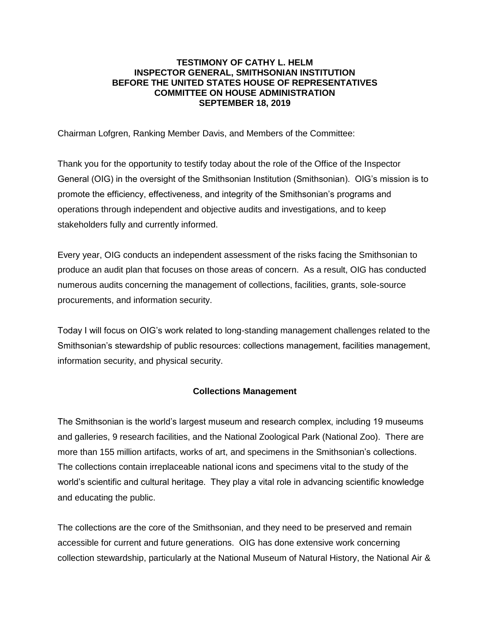## **TESTIMONY OF CATHY L. HELM INSPECTOR GENERAL, SMITHSONIAN INSTITUTION BEFORE THE UNITED STATES HOUSE OF REPRESENTATIVES COMMITTEE ON HOUSE ADMINISTRATION SEPTEMBER 18, 2019**

Chairman Lofgren, Ranking Member Davis, and Members of the Committee:

Thank you for the opportunity to testify today about the role of the Office of the Inspector General (OIG) in the oversight of the Smithsonian Institution (Smithsonian). OIG's mission is to promote the efficiency, effectiveness, and integrity of the Smithsonian's programs and operations through independent and objective audits and investigations, and to keep stakeholders fully and currently informed.

Every year, OIG conducts an independent assessment of the risks facing the Smithsonian to produce an audit plan that focuses on those areas of concern. As a result, OIG has conducted numerous audits concerning the management of collections, facilities, grants, sole-source procurements, and information security.

Today I will focus on OIG's work related to long-standing management challenges related to the Smithsonian's stewardship of public resources: collections management, facilities management, information security, and physical security.

# **Collections Management**

The Smithsonian is the world's largest museum and research complex, including 19 museums and galleries, 9 research facilities, and the National Zoological Park (National Zoo). There are more than 155 million artifacts, works of art, and specimens in the Smithsonian's collections. The collections contain irreplaceable national icons and specimens vital to the study of the world's scientific and cultural heritage. They play a vital role in advancing scientific knowledge and educating the public.

The collections are the core of the Smithsonian, and they need to be preserved and remain accessible for current and future generations. OIG has done extensive work concerning collection stewardship, particularly at the National Museum of Natural History, the National Air &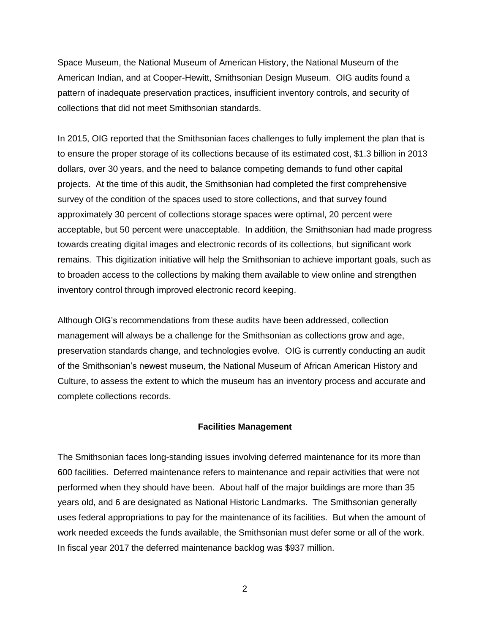Space Museum, the National Museum of American History, the National Museum of the American Indian, and at Cooper-Hewitt, Smithsonian Design Museum. OIG audits found a pattern of inadequate preservation practices, insufficient inventory controls, and security of collections that did not meet Smithsonian standards.

In 2015, OIG reported that the Smithsonian faces challenges to fully implement the plan that is to ensure the proper storage of its collections because of its estimated cost, \$1.3 billion in 2013 dollars, over 30 years, and the need to balance competing demands to fund other capital projects. At the time of this audit, the Smithsonian had completed the first comprehensive survey of the condition of the spaces used to store collections, and that survey found approximately 30 percent of collections storage spaces were optimal, 20 percent were acceptable, but 50 percent were unacceptable. In addition, the Smithsonian had made progress towards creating digital images and electronic records of its collections, but significant work remains. This digitization initiative will help the Smithsonian to achieve important goals, such as to broaden access to the collections by making them available to view online and strengthen inventory control through improved electronic record keeping.

Although OIG's recommendations from these audits have been addressed, collection management will always be a challenge for the Smithsonian as collections grow and age, preservation standards change, and technologies evolve. OIG is currently conducting an audit of the Smithsonian's newest museum, the National Museum of African American History and Culture, to assess the extent to which the museum has an inventory process and accurate and complete collections records.

#### **Facilities Management**

The Smithsonian faces long-standing issues involving deferred maintenance for its more than 600 facilities. Deferred maintenance refers to maintenance and repair activities that were not performed when they should have been. About half of the major buildings are more than 35 years old, and 6 are designated as National Historic Landmarks. The Smithsonian generally uses federal appropriations to pay for the maintenance of its facilities. But when the amount of work needed exceeds the funds available, the Smithsonian must defer some or all of the work. In fiscal year 2017 the deferred maintenance backlog was \$937 million.

2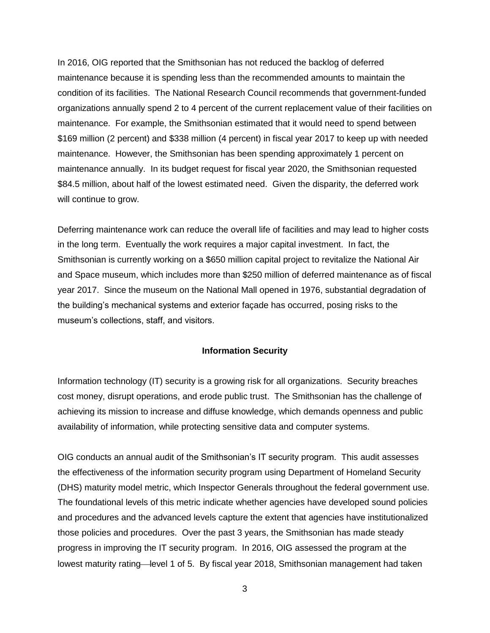In 2016, OIG reported that the Smithsonian has not reduced the backlog of deferred maintenance because it is spending less than the recommended amounts to maintain the condition of its facilities. The National Research Council recommends that government-funded organizations annually spend 2 to 4 percent of the current replacement value of their facilities on maintenance. For example, the Smithsonian estimated that it would need to spend between \$169 million (2 percent) and \$338 million (4 percent) in fiscal year 2017 to keep up with needed maintenance. However, the Smithsonian has been spending approximately 1 percent on maintenance annually. In its budget request for fiscal year 2020, the Smithsonian requested \$84.5 million, about half of the lowest estimated need. Given the disparity, the deferred work will continue to grow.

Deferring maintenance work can reduce the overall life of facilities and may lead to higher costs in the long term. Eventually the work requires a major capital investment. In fact, the Smithsonian is currently working on a \$650 million capital project to revitalize the National Air and Space museum, which includes more than \$250 million of deferred maintenance as of fiscal year 2017. Since the museum on the National Mall opened in 1976, substantial degradation of the building's mechanical systems and exterior façade has occurred, posing risks to the museum's collections, staff, and visitors.

### **Information Security**

Information technology (IT) security is a growing risk for all organizations. Security breaches cost money, disrupt operations, and erode public trust. The Smithsonian has the challenge of achieving its mission to increase and diffuse knowledge, which demands openness and public availability of information, while protecting sensitive data and computer systems.

OIG conducts an annual audit of the Smithsonian's IT security program. This audit assesses the effectiveness of the information security program using Department of Homeland Security (DHS) maturity model metric, which Inspector Generals throughout the federal government use. The foundational levels of this metric indicate whether agencies have developed sound policies and procedures and the advanced levels capture the extent that agencies have institutionalized those policies and procedures. Over the past 3 years, the Smithsonian has made steady progress in improving the IT security program. In 2016, OIG assessed the program at the lowest maturity rating—level 1 of 5. By fiscal year 2018, Smithsonian management had taken

3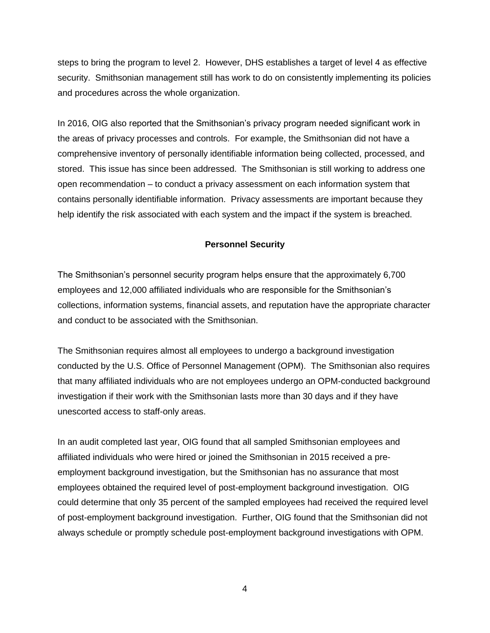steps to bring the program to level 2. However, DHS establishes a target of level 4 as effective security. Smithsonian management still has work to do on consistently implementing its policies and procedures across the whole organization.

In 2016, OIG also reported that the Smithsonian's privacy program needed significant work in the areas of privacy processes and controls. For example, the Smithsonian did not have a comprehensive inventory of personally identifiable information being collected, processed, and stored. This issue has since been addressed. The Smithsonian is still working to address one open recommendation – to conduct a privacy assessment on each information system that contains personally identifiable information. Privacy assessments are important because they help identify the risk associated with each system and the impact if the system is breached.

## **Personnel Security**

The Smithsonian's personnel security program helps ensure that the approximately 6,700 employees and 12,000 affiliated individuals who are responsible for the Smithsonian's collections, information systems, financial assets, and reputation have the appropriate character and conduct to be associated with the Smithsonian.

The Smithsonian requires almost all employees to undergo a background investigation conducted by the U.S. Office of Personnel Management (OPM). The Smithsonian also requires that many affiliated individuals who are not employees undergo an OPM-conducted background investigation if their work with the Smithsonian lasts more than 30 days and if they have unescorted access to staff-only areas.

In an audit completed last year, OIG found that all sampled Smithsonian employees and affiliated individuals who were hired or joined the Smithsonian in 2015 received a preemployment background investigation, but the Smithsonian has no assurance that most employees obtained the required level of post-employment background investigation. OIG could determine that only 35 percent of the sampled employees had received the required level of post-employment background investigation. Further, OIG found that the Smithsonian did not always schedule or promptly schedule post-employment background investigations with OPM.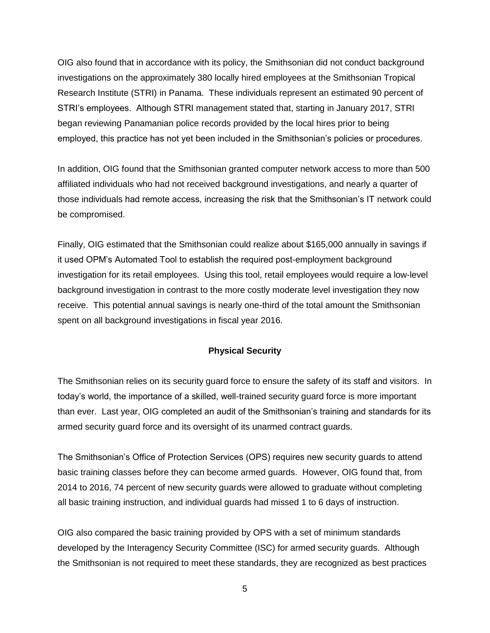OIG also found that in accordance with its policy, the Smithsonian did not conduct background investigations on the approximately 380 locally hired employees at the Smithsonian Tropical Research Institute (STRI) in Panama. These individuals represent an estimated 90 percent of STRI's employees. Although STRI management stated that, starting in January 2017, STRI began reviewing Panamanian police records provided by the local hires prior to being employed, this practice has not yet been included in the Smithsonian's policies or procedures.

In addition, OIG found that the Smithsonian granted computer network access to more than 500 affiliated individuals who had not received background investigations, and nearly a quarter of those individuals had remote access, increasing the risk that the Smithsonian's IT network could be compromised.

Finally, OIG estimated that the Smithsonian could realize about \$165,000 annually in savings if it used OPM's Automated Tool to establish the required post-employment background investigation for its retail employees. Using this tool, retail employees would require a low-level background investigation in contrast to the more costly moderate level investigation they now receive. This potential annual savings is nearly one-third of the total amount the Smithsonian spent on all background investigations in fiscal year 2016.

### **Physical Security**

The Smithsonian relies on its security guard force to ensure the safety of its staff and visitors. In today's world, the importance of a skilled, well-trained security guard force is more important than ever. Last year, OIG completed an audit of the Smithsonian's training and standards for its armed security guard force and its oversight of its unarmed contract guards.

The Smithsonian's Office of Protection Services (OPS) requires new security guards to attend basic training classes before they can become armed guards. However, OIG found that, from 2014 to 2016, 74 percent of new security guards were allowed to graduate without completing all basic training instruction, and individual guards had missed 1 to 6 days of instruction.

OIG also compared the basic training provided by OPS with a set of minimum standards developed by the Interagency Security Committee (ISC) for armed security guards. Although the Smithsonian is not required to meet these standards, they are recognized as best practices

5